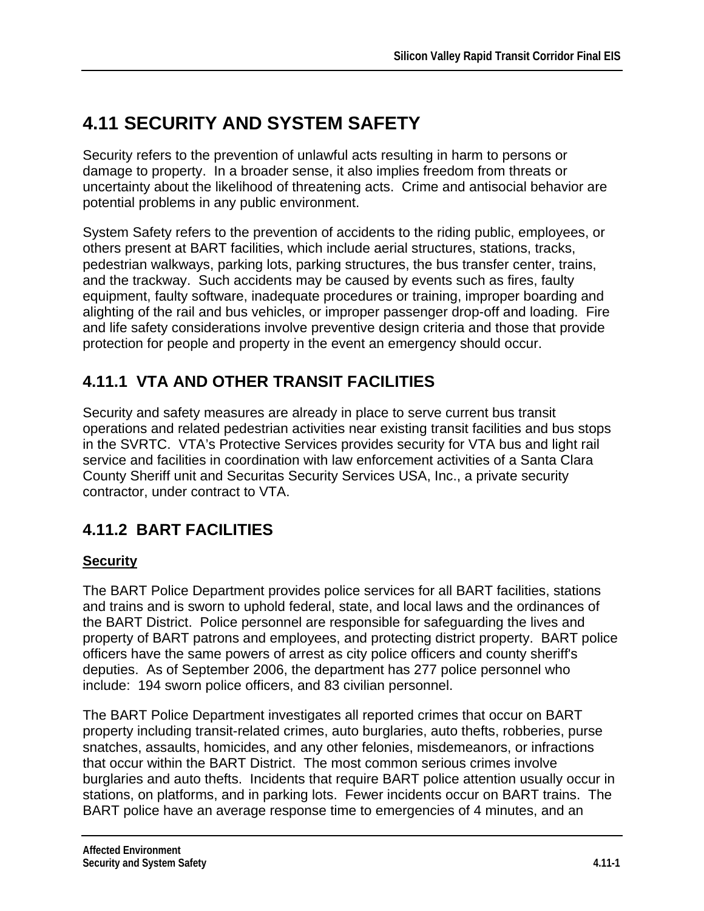# **4.11 SECURITY AND SYSTEM SAFETY**

Security refers to the prevention of unlawful acts resulting in harm to persons or damage to property. In a broader sense, it also implies freedom from threats or uncertainty about the likelihood of threatening acts. Crime and antisocial behavior are potential problems in any public environment.

System Safety refers to the prevention of accidents to the riding public, employees, or others present at BART facilities, which include aerial structures, stations, tracks, pedestrian walkways, parking lots, parking structures, the bus transfer center, trains, and the trackway. Such accidents may be caused by events such as fires, faulty equipment, faulty software, inadequate procedures or training, improper boarding and alighting of the rail and bus vehicles, or improper passenger drop-off and loading. Fire and life safety considerations involve preventive design criteria and those that provide protection for people and property in the event an emergency should occur.

### **4.11.1 VTA AND OTHER TRANSIT FACILITIES**

Security and safety measures are already in place to serve current bus transit operations and related pedestrian activities near existing transit facilities and bus stops in the SVRTC. VTA's Protective Services provides security for VTA bus and light rail service and facilities in coordination with law enforcement activities of a Santa Clara County Sheriff unit and Securitas Security Services USA, Inc., a private security contractor, under contract to VTA.

## **4.11.2 BART FACILITIES**

#### **Security**

The BART Police Department provides police services for all BART facilities, stations and trains and is sworn to uphold federal, state, and local laws and the ordinances of the BART District. Police personnel are responsible for safeguarding the lives and property of BART patrons and employees, and protecting district property. BART police officers have the same powers of arrest as city police officers and county sheriff's deputies. As of September 2006, the department has 277 police personnel who include: 194 sworn police officers, and 83 civilian personnel.

The BART Police Department investigates all reported crimes that occur on BART property including transit-related crimes, auto burglaries, auto thefts, robberies, purse snatches, assaults, homicides, and any other felonies, misdemeanors, or infractions that occur within the BART District. The most common serious crimes involve burglaries and auto thefts. Incidents that require BART police attention usually occur in stations, on platforms, and in parking lots. Fewer incidents occur on BART trains. The BART police have an average response time to emergencies of 4 minutes, and an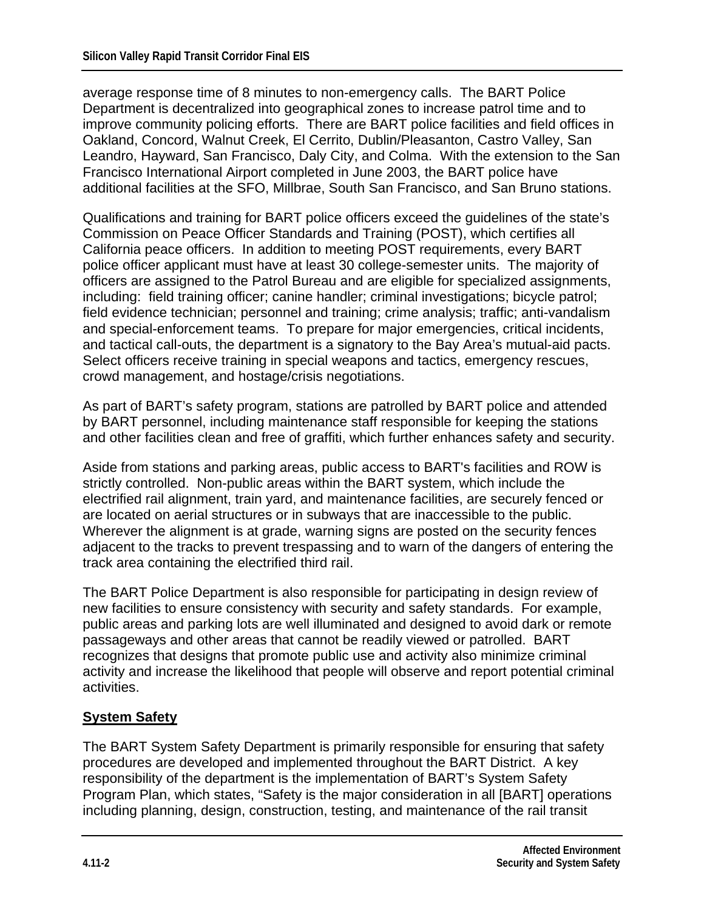average response time of 8 minutes to non-emergency calls. The BART Police Department is decentralized into geographical zones to increase patrol time and to improve community policing efforts. There are BART police facilities and field offices in Oakland, Concord, Walnut Creek, El Cerrito, Dublin/Pleasanton, Castro Valley, San Leandro, Hayward, San Francisco, Daly City, and Colma. With the extension to the San Francisco International Airport completed in June 2003, the BART police have additional facilities at the SFO, Millbrae, South San Francisco, and San Bruno stations.

Qualifications and training for BART police officers exceed the guidelines of the state's Commission on Peace Officer Standards and Training (POST), which certifies all California peace officers. In addition to meeting POST requirements, every BART police officer applicant must have at least 30 college-semester units. The majority of officers are assigned to the Patrol Bureau and are eligible for specialized assignments, including: field training officer; canine handler; criminal investigations; bicycle patrol; field evidence technician; personnel and training; crime analysis; traffic; anti-vandalism and special-enforcement teams. To prepare for major emergencies, critical incidents, and tactical call-outs, the department is a signatory to the Bay Area's mutual-aid pacts. Select officers receive training in special weapons and tactics, emergency rescues, crowd management, and hostage/crisis negotiations.

As part of BART's safety program, stations are patrolled by BART police and attended by BART personnel, including maintenance staff responsible for keeping the stations and other facilities clean and free of graffiti, which further enhances safety and security.

Aside from stations and parking areas, public access to BART's facilities and ROW is strictly controlled. Non-public areas within the BART system, which include the electrified rail alignment, train yard, and maintenance facilities, are securely fenced or are located on aerial structures or in subways that are inaccessible to the public. Wherever the alignment is at grade, warning signs are posted on the security fences adjacent to the tracks to prevent trespassing and to warn of the dangers of entering the track area containing the electrified third rail.

The BART Police Department is also responsible for participating in design review of new facilities to ensure consistency with security and safety standards. For example, public areas and parking lots are well illuminated and designed to avoid dark or remote passageways and other areas that cannot be readily viewed or patrolled. BART recognizes that designs that promote public use and activity also minimize criminal activity and increase the likelihood that people will observe and report potential criminal activities.

#### **System Safety**

The BART System Safety Department is primarily responsible for ensuring that safety procedures are developed and implemented throughout the BART District. A key responsibility of the department is the implementation of BART's System Safety Program Plan, which states, "Safety is the major consideration in all [BART] operations including planning, design, construction, testing, and maintenance of the rail transit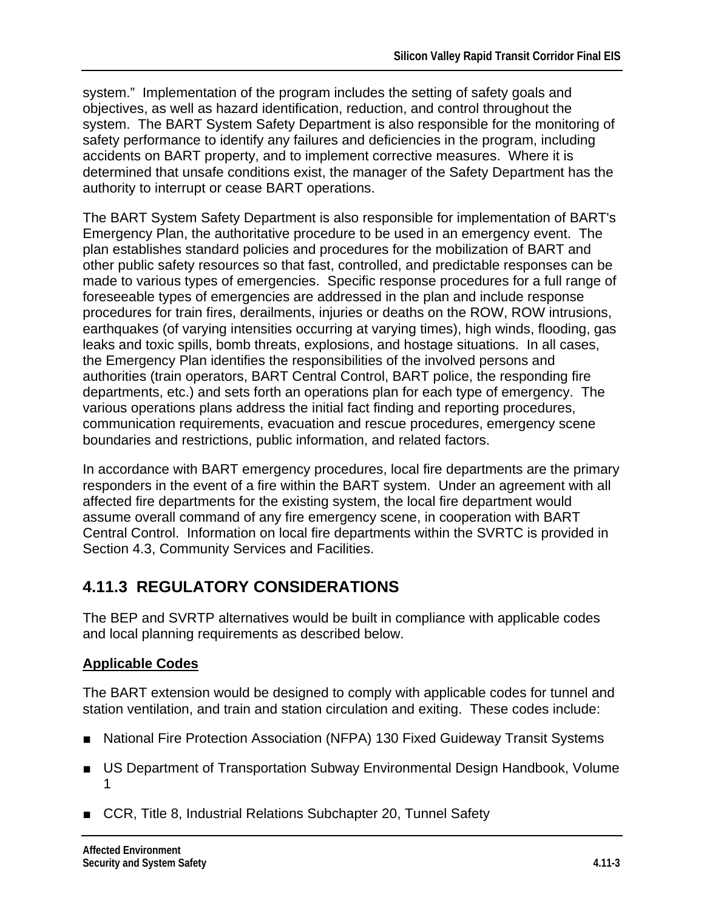system." Implementation of the program includes the setting of safety goals and objectives, as well as hazard identification, reduction, and control throughout the system. The BART System Safety Department is also responsible for the monitoring of safety performance to identify any failures and deficiencies in the program, including accidents on BART property, and to implement corrective measures. Where it is determined that unsafe conditions exist, the manager of the Safety Department has the authority to interrupt or cease BART operations.

The BART System Safety Department is also responsible for implementation of BART's Emergency Plan, the authoritative procedure to be used in an emergency event. The plan establishes standard policies and procedures for the mobilization of BART and other public safety resources so that fast, controlled, and predictable responses can be made to various types of emergencies. Specific response procedures for a full range of foreseeable types of emergencies are addressed in the plan and include response procedures for train fires, derailments, injuries or deaths on the ROW, ROW intrusions, earthquakes (of varying intensities occurring at varying times), high winds, flooding, gas leaks and toxic spills, bomb threats, explosions, and hostage situations. In all cases, the Emergency Plan identifies the responsibilities of the involved persons and authorities (train operators, BART Central Control, BART police, the responding fire departments, etc.) and sets forth an operations plan for each type of emergency. The various operations plans address the initial fact finding and reporting procedures, communication requirements, evacuation and rescue procedures, emergency scene boundaries and restrictions, public information, and related factors.

In accordance with BART emergency procedures, local fire departments are the primary responders in the event of a fire within the BART system. Under an agreement with all affected fire departments for the existing system, the local fire department would assume overall command of any fire emergency scene, in cooperation with BART Central Control. Information on local fire departments within the SVRTC is provided in Section 4.3, Community Services and Facilities.

## **4.11.3 REGULATORY CONSIDERATIONS**

The BEP and SVRTP alternatives would be built in compliance with applicable codes and local planning requirements as described below.

### **Applicable Codes**

The BART extension would be designed to comply with applicable codes for tunnel and station ventilation, and train and station circulation and exiting. These codes include:

- National Fire Protection Association (NFPA) 130 Fixed Guideway Transit Systems
- US Department of Transportation Subway Environmental Design Handbook, Volume 1
- CCR, Title 8, Industrial Relations Subchapter 20, Tunnel Safety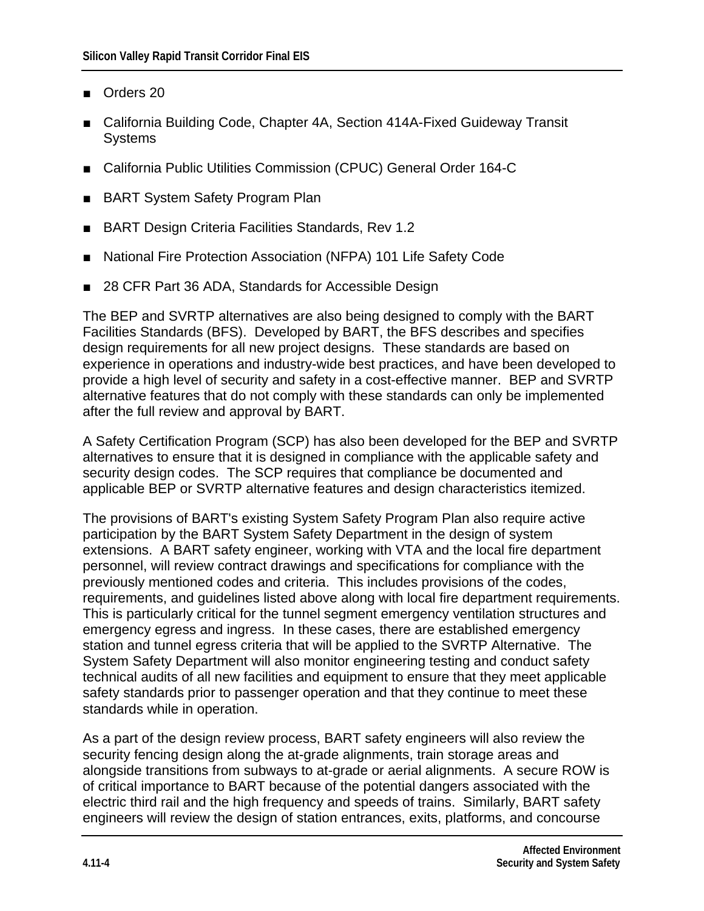- Orders 20
- California Building Code, Chapter 4A, Section 414A-Fixed Guideway Transit **Systems**
- California Public Utilities Commission (CPUC) General Order 164-C
- BART System Safety Program Plan
- **BART Design Criteria Facilities Standards, Rev 1.2**
- **National Fire Protection Association (NFPA) 101 Life Safety Code**
- 28 CFR Part 36 ADA, Standards for Accessible Design

The BEP and SVRTP alternatives are also being designed to comply with the BART Facilities Standards (BFS). Developed by BART, the BFS describes and specifies design requirements for all new project designs. These standards are based on experience in operations and industry-wide best practices, and have been developed to provide a high level of security and safety in a cost-effective manner. BEP and SVRTP alternative features that do not comply with these standards can only be implemented after the full review and approval by BART.

A Safety Certification Program (SCP) has also been developed for the BEP and SVRTP alternatives to ensure that it is designed in compliance with the applicable safety and security design codes. The SCP requires that compliance be documented and applicable BEP or SVRTP alternative features and design characteristics itemized.

The provisions of BART's existing System Safety Program Plan also require active participation by the BART System Safety Department in the design of system extensions. A BART safety engineer, working with VTA and the local fire department personnel, will review contract drawings and specifications for compliance with the previously mentioned codes and criteria. This includes provisions of the codes, requirements, and guidelines listed above along with local fire department requirements. This is particularly critical for the tunnel segment emergency ventilation structures and emergency egress and ingress. In these cases, there are established emergency station and tunnel egress criteria that will be applied to the SVRTP Alternative. The System Safety Department will also monitor engineering testing and conduct safety technical audits of all new facilities and equipment to ensure that they meet applicable safety standards prior to passenger operation and that they continue to meet these standards while in operation.

As a part of the design review process, BART safety engineers will also review the security fencing design along the at-grade alignments, train storage areas and alongside transitions from subways to at-grade or aerial alignments. A secure ROW is of critical importance to BART because of the potential dangers associated with the electric third rail and the high frequency and speeds of trains. Similarly, BART safety engineers will review the design of station entrances, exits, platforms, and concourse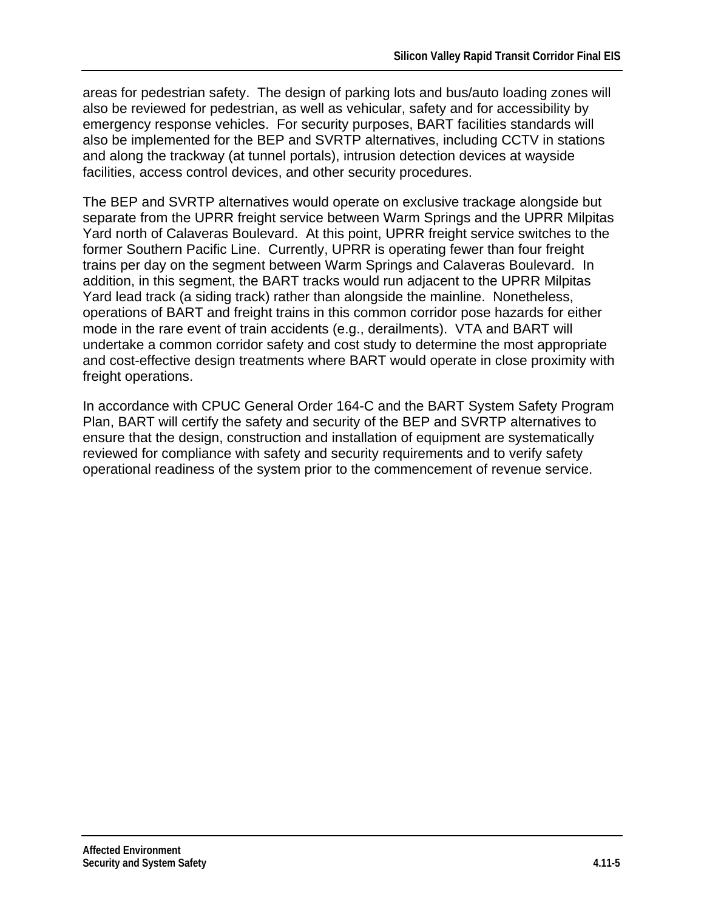areas for pedestrian safety. The design of parking lots and bus/auto loading zones will also be reviewed for pedestrian, as well as vehicular, safety and for accessibility by emergency response vehicles. For security purposes, BART facilities standards will also be implemented for the BEP and SVRTP alternatives, including CCTV in stations and along the trackway (at tunnel portals), intrusion detection devices at wayside facilities, access control devices, and other security procedures.

The BEP and SVRTP alternatives would operate on exclusive trackage alongside but separate from the UPRR freight service between Warm Springs and the UPRR Milpitas Yard north of Calaveras Boulevard. At this point, UPRR freight service switches to the former Southern Pacific Line. Currently, UPRR is operating fewer than four freight trains per day on the segment between Warm Springs and Calaveras Boulevard. In addition, in this segment, the BART tracks would run adjacent to the UPRR Milpitas Yard lead track (a siding track) rather than alongside the mainline. Nonetheless, operations of BART and freight trains in this common corridor pose hazards for either mode in the rare event of train accidents (e.g., derailments). VTA and BART will undertake a common corridor safety and cost study to determine the most appropriate and cost-effective design treatments where BART would operate in close proximity with freight operations.

In accordance with CPUC General Order 164-C and the BART System Safety Program Plan, BART will certify the safety and security of the BEP and SVRTP alternatives to ensure that the design, construction and installation of equipment are systematically reviewed for compliance with safety and security requirements and to verify safety operational readiness of the system prior to the commencement of revenue service.